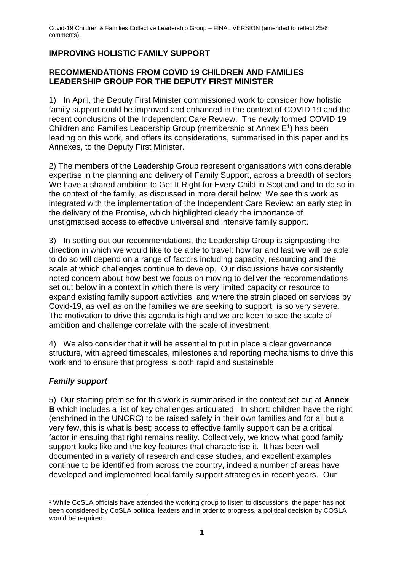# **IMPROVING HOLISTIC FAMILY SUPPORT**

### **RECOMMENDATIONS FROM COVID 19 CHILDREN AND FAMILIES LEADERSHIP GROUP FOR THE DEPUTY FIRST MINISTER**

1) In April, the Deputy First Minister commissioned work to consider how holistic family support could be improved and enhanced in the context of COVID 19 and the recent conclusions of the Independent Care Review. The newly formed COVID 19 Children and Families Leadership Group (membership at Annex E<sup>1</sup>) has been leading on this work, and offers its considerations, summarised in this paper and its Annexes, to the Deputy First Minister.

2) The members of the Leadership Group represent organisations with considerable expertise in the planning and delivery of Family Support, across a breadth of sectors. We have a shared ambition to Get It Right for Every Child in Scotland and to do so in the context of the family, as discussed in more detail below. We see this work as integrated with the implementation of the Independent Care Review: an early step in the delivery of the Promise, which highlighted clearly the importance of unstigmatised access to effective universal and intensive family support.

3) In setting out our recommendations, the Leadership Group is signposting the direction in which we would like to be able to travel: how far and fast we will be able to do so will depend on a range of factors including capacity, resourcing and the scale at which challenges continue to develop. Our discussions have consistently noted concern about how best we focus on moving to deliver the recommendations set out below in a context in which there is very limited capacity or resource to expand existing family support activities, and where the strain placed on services by Covid-19, as well as on the families we are seeking to support, is so very severe. The motivation to drive this agenda is high and we are keen to see the scale of ambition and challenge correlate with the scale of investment.

4) We also consider that it will be essential to put in place a clear governance structure, with agreed timescales, milestones and reporting mechanisms to drive this work and to ensure that progress is both rapid and sustainable.

# *Family support*

5) Our starting premise for this work is summarised in the context set out at **Annex B** which includes a list of key challenges articulated. In short: children have the right (enshrined in the UNCRC) to be raised safely in their own families and for all but a very few, this is what is best; access to effective family support can be a critical factor in ensuing that right remains reality. Collectively, we know what good family support looks like and the key features that characterise it. It has been well documented in a variety of research and case studies, and excellent examples continue to be identified from across the country, indeed a number of areas have developed and implemented local family support strategies in recent years. Our

<sup>1</sup> <sup>1</sup> While CoSLA officials have attended the working group to listen to discussions, the paper has not been considered by CoSLA political leaders and in order to progress, a political decision by COSLA would be required.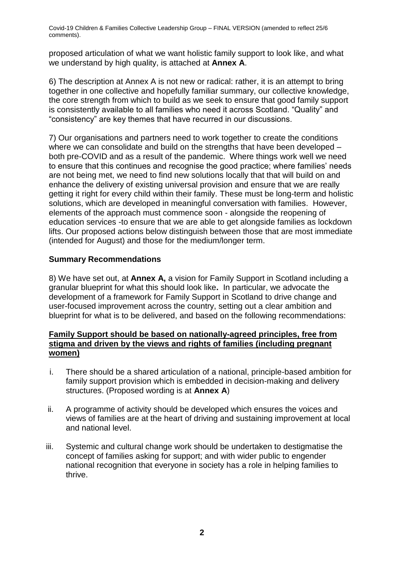proposed articulation of what we want holistic family support to look like, and what we understand by high quality, is attached at **Annex A**.

6) The description at Annex A is not new or radical: rather, it is an attempt to bring together in one collective and hopefully familiar summary, our collective knowledge, the core strength from which to build as we seek to ensure that good family support is consistently available to all families who need it across Scotland. "Quality" and "consistency" are key themes that have recurred in our discussions.

7) Our organisations and partners need to work together to create the conditions where we can consolidate and build on the strengths that have been developed – both pre-COVID and as a result of the pandemic. Where things work well we need to ensure that this continues and recognise the good practice; where families' needs are not being met, we need to find new solutions locally that that will build on and enhance the delivery of existing universal provision and ensure that we are really getting it right for every child within their family. These must be long-term and holistic solutions, which are developed in meaningful conversation with families. However, elements of the approach must commence soon - alongside the reopening of education services -to ensure that we are able to get alongside families as lockdown lifts. Our proposed actions below distinguish between those that are most immediate (intended for August) and those for the medium/longer term.

# **Summary Recommendations**

8) We have set out, at **Annex A,** a vision for Family Support in Scotland including a granular blueprint for what this should look like**.** In particular, we advocate the development of a framework for Family Support in Scotland to drive change and user-focused improvement across the country, setting out a clear ambition and blueprint for what is to be delivered, and based on the following recommendations:

## **Family Support should be based on nationally-agreed principles, free from stigma and driven by the views and rights of families (including pregnant women)**

- i. There should be a shared articulation of a national, principle-based ambition for family support provision which is embedded in decision-making and delivery structures. (Proposed wording is at **Annex A**)
- ii. A programme of activity should be developed which ensures the voices and views of families are at the heart of driving and sustaining improvement at local and national level.
- iii. Systemic and cultural change work should be undertaken to destigmatise the concept of families asking for support; and with wider public to engender national recognition that everyone in society has a role in helping families to thrive.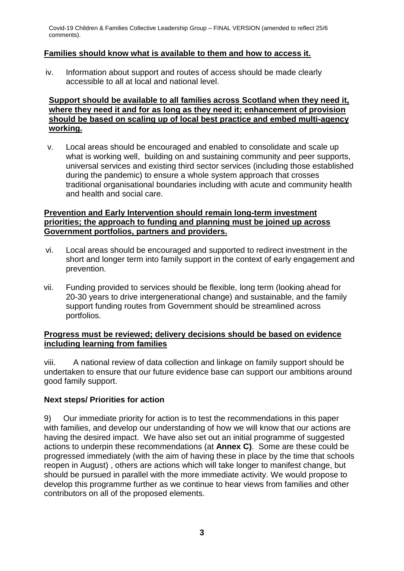### **Families should know what is available to them and how to access it.**

iv. Information about support and routes of access should be made clearly accessible to all at local and national level.

## **Support should be available to all families across Scotland when they need it, where they need it and for as long as they need it; enhancement of provision should be based on scaling up of local best practice and embed multi-agency working.**

v. Local areas should be encouraged and enabled to consolidate and scale up what is working well, building on and sustaining community and peer supports, universal services and existing third sector services (including those established during the pandemic) to ensure a whole system approach that crosses traditional organisational boundaries including with acute and community health and health and social care.

### **Prevention and Early Intervention should remain long-term investment priorities; the approach to funding and planning must be joined up across Government portfolios, partners and providers.**

- vi. Local areas should be encouraged and supported to redirect investment in the short and longer term into family support in the context of early engagement and prevention.
- vii. Funding provided to services should be flexible, long term (looking ahead for 20-30 years to drive intergenerational change) and sustainable, and the family support funding routes from Government should be streamlined across portfolios.

### **Progress must be reviewed; delivery decisions should be based on evidence including learning from families**

viii. A national review of data collection and linkage on family support should be undertaken to ensure that our future evidence base can support our ambitions around good family support.

# **Next steps/ Priorities for action**

9) Our immediate priority for action is to test the recommendations in this paper with families, and develop our understanding of how we will know that our actions are having the desired impact. We have also set out an initial programme of suggested actions to underpin these recommendations (at **Annex C)**. Some are these could be progressed immediately (with the aim of having these in place by the time that schools reopen in August) , others are actions which will take longer to manifest change, but should be pursued in parallel with the more immediate activity. We would propose to develop this programme further as we continue to hear views from families and other contributors on all of the proposed elements.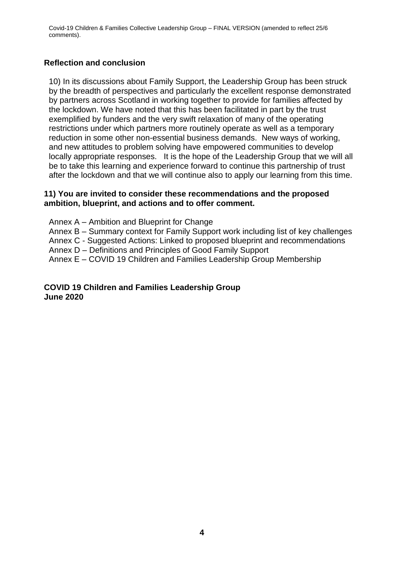#### **Reflection and conclusion**

10) In its discussions about Family Support, the Leadership Group has been struck by the breadth of perspectives and particularly the excellent response demonstrated by partners across Scotland in working together to provide for families affected by the lockdown. We have noted that this has been facilitated in part by the trust exemplified by funders and the very swift relaxation of many of the operating restrictions under which partners more routinely operate as well as a temporary reduction in some other non-essential business demands. New ways of working, and new attitudes to problem solving have empowered communities to develop locally appropriate responses. It is the hope of the Leadership Group that we will all be to take this learning and experience forward to continue this partnership of trust after the lockdown and that we will continue also to apply our learning from this time.

#### **11) You are invited to consider these recommendations and the proposed ambition, blueprint, and actions and to offer comment.**

- Annex A Ambition and Blueprint for Change
- Annex B Summary context for Family Support work including list of key challenges
- Annex C Suggested Actions: Linked to proposed blueprint and recommendations
- Annex D Definitions and Principles of Good Family Support
- Annex E COVID 19 Children and Families Leadership Group Membership

#### **COVID 19 Children and Families Leadership Group June 2020**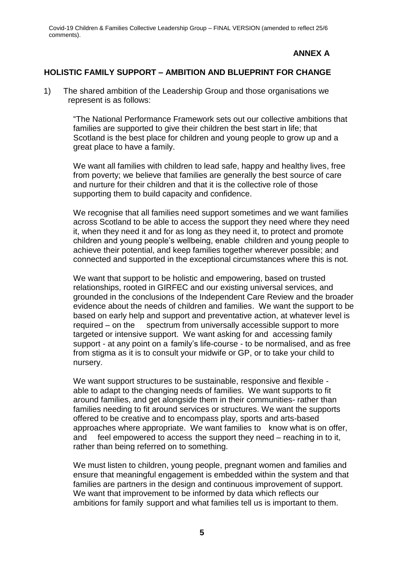# **ANNEX A**

#### **HOLISTIC FAMILY SUPPORT – AMBITION AND BLUEPRINT FOR CHANGE**

1) The shared ambition of the Leadership Group and those organisations we represent is as follows:

> "The National Performance Framework sets out our collective ambitions that families are supported to give their children the best start in life; that Scotland is the best place for children and young people to grow up and a great place to have a family.

> We want all families with children to lead safe, happy and healthy lives, free from poverty; we believe that families are generally the best source of care and nurture for their children and that it is the collective role of those supporting them to build capacity and confidence.

We recognise that all families need support sometimes and we want families across Scotland to be able to access the support they need where they need it, when they need it and for as long as they need it, to protect and promote children and young people's wellbeing, enable children and young people to achieve their potential, and keep families together wherever possible; and connected and supported in the exceptional circumstances where this is not.

We want that support to be holistic and empowering, based on trusted relationships, rooted in GIRFEC and our existing universal services, and grounded in the conclusions of the Independent Care Review and the broader evidence about the needs of children and families. We want the support to be based on early help and support and preventative action, at whatever level is required – on the spectrum from universally accessible support to more targeted or intensive support. We want asking for and accessing family support - at any point on a family's life-course - to be normalised, and as free from stigma as it is to consult your midwife or GP, or to take your child to nursery.

We want support structures to be sustainable, responsive and flexible able to adapt to the changing needs of families. We want supports to fit around families, and get alongside them in their communities- rather than families needing to fit around services or structures. We want the supports offered to be creative and to encompass play, sports and arts-based approaches where appropriate. We want families to know what is on offer, and feel empowered to access the support they need – reaching in to it, rather than being referred on to something.

We must listen to children, young people, pregnant women and families and ensure that meaningful engagement is embedded within the system and that families are partners in the design and continuous improvement of support. We want that improvement to be informed by data which reflects our ambitions for family support and what families tell us is important to them.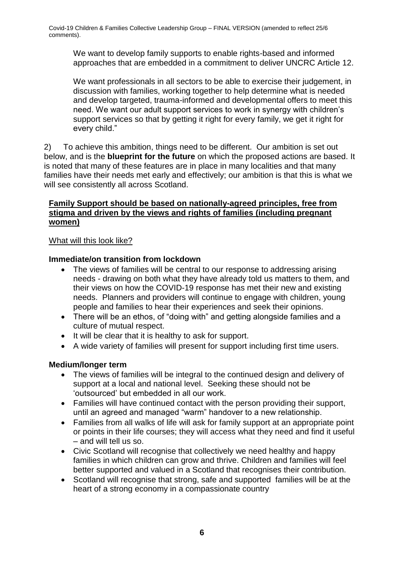We want to develop family supports to enable rights-based and informed approaches that are embedded in a commitment to deliver UNCRC Article 12.

We want professionals in all sectors to be able to exercise their judgement, in discussion with families, working together to help determine what is needed and develop targeted, trauma-informed and developmental offers to meet this need. We want our adult support services to work in synergy with children's support services so that by getting it right for every family, we get it right for every child."

2) To achieve this ambition, things need to be different. Our ambition is set out below, and is the **blueprint for the future** on which the proposed actions are based. It is noted that many of these features are in place in many localities and that many families have their needs met early and effectively; our ambition is that this is what we will see consistently all across Scotland.

# **Family Support should be based on nationally-agreed principles, free from stigma and driven by the views and rights of families (including pregnant women)**

# What will this look like?

# **Immediate/on transition from lockdown**

- The views of families will be central to our response to addressing arising needs - drawing on both what they have already told us matters to them, and their views on how the COVID-19 response has met their new and existing needs. Planners and providers will continue to engage with children, young people and families to hear their experiences and seek their opinions.
- There will be an ethos, of "doing with" and getting alongside families and a culture of mutual respect.
- It will be clear that it is healthy to ask for support.
- A wide variety of families will present for support including first time users.

# **Medium/longer term**

- The views of families will be integral to the continued design and delivery of support at a local and national level. Seeking these should not be 'outsourced' but embedded in all our work.
- Families will have continued contact with the person providing their support, until an agreed and managed "warm" handover to a new relationship.
- Families from all walks of life will ask for family support at an appropriate point or points in their life courses; they will access what they need and find it useful – and will tell us so.
- Civic Scotland will recognise that collectively we need healthy and happy families in which children can grow and thrive. Children and families will feel better supported and valued in a Scotland that recognises their contribution.
- Scotland will recognise that strong, safe and supported families will be at the heart of a strong economy in a compassionate country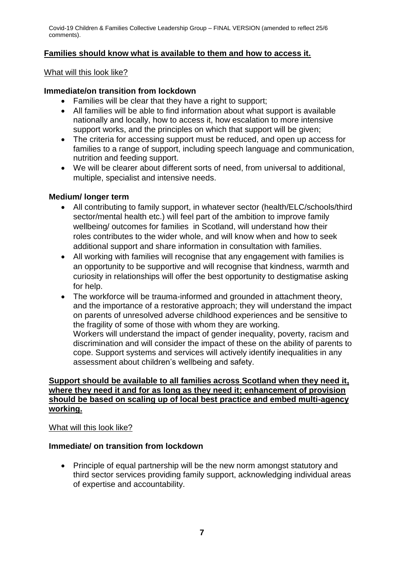# **Families should know what is available to them and how to access it.**

What will this look like?

### **Immediate/on transition from lockdown**

- Families will be clear that they have a right to support;
- All families will be able to find information about what support is available nationally and locally, how to access it, how escalation to more intensive support works, and the principles on which that support will be given;
- The criteria for accessing support must be reduced, and open up access for families to a range of support, including speech language and communication, nutrition and feeding support.
- We will be clearer about different sorts of need, from universal to additional, multiple, specialist and intensive needs.

#### **Medium/ longer term**

- All contributing to family support, in whatever sector (health/ELC/schools/third sector/mental health etc.) will feel part of the ambition to improve family wellbeing/ outcomes for families in Scotland, will understand how their roles contributes to the wider whole, and will know when and how to seek additional support and share information in consultation with families.
- All working with families will recognise that any engagement with families is an opportunity to be supportive and will recognise that kindness, warmth and curiosity in relationships will offer the best opportunity to destigmatise asking for help.
- The workforce will be trauma-informed and grounded in attachment theory, and the importance of a restorative approach; they will understand the impact on parents of unresolved adverse childhood experiences and be sensitive to the fragility of some of those with whom they are working. Workers will understand the impact of gender inequality, poverty, racism and discrimination and will consider the impact of these on the ability of parents to cope. Support systems and services will actively identify inequalities in any assessment about children's wellbeing and safety.

### **Support should be available to all families across Scotland when they need it, where they need it and for as long as they need it; enhancement of provision should be based on scaling up of local best practice and embed multi-agency working.**

### What will this look like?

### **Immediate/ on transition from lockdown**

• Principle of equal partnership will be the new norm amongst statutory and third sector services providing family support, acknowledging individual areas of expertise and accountability.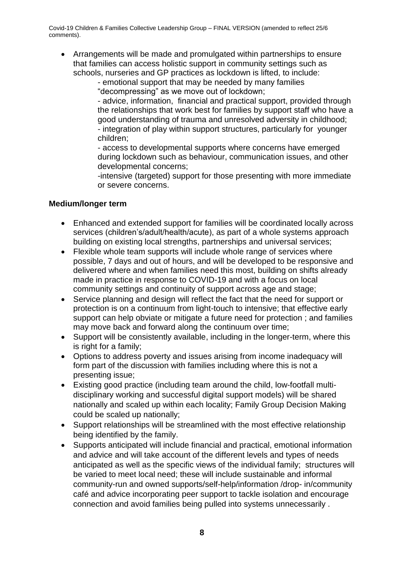Arrangements will be made and promulgated within partnerships to ensure that families can access holistic support in community settings such as schools, nurseries and GP practices as lockdown is lifted, to include:

- emotional support that may be needed by many families

"decompressing" as we move out of lockdown;

- advice, information, financial and practical support, provided through the relationships that work best for families by support staff who have a good understanding of trauma and unresolved adversity in childhood; - integration of play within support structures, particularly for younger children;

- access to developmental supports where concerns have emerged during lockdown such as behaviour, communication issues, and other developmental concerns;

-intensive (targeted) support for those presenting with more immediate or severe concerns.

## **Medium/longer term**

- Enhanced and extended support for families will be coordinated locally across services (children's/adult/health/acute), as part of a whole systems approach building on existing local strengths, partnerships and universal services;
- Flexible whole team supports will include whole range of services where possible, 7 days and out of hours, and will be developed to be responsive and delivered where and when families need this most, building on shifts already made in practice in response to COVID-19 and with a focus on local community settings and continuity of support across age and stage;
- Service planning and design will reflect the fact that the need for support or protection is on a continuum from light-touch to intensive; that effective early support can help obviate or mitigate a future need for protection ; and families may move back and forward along the continuum over time;
- Support will be consistently available, including in the longer-term, where this is right for a family;
- Options to address poverty and issues arising from income inadequacy will form part of the discussion with families including where this is not a presenting issue;
- Existing good practice (including team around the child, low-footfall multidisciplinary working and successful digital support models) will be shared nationally and scaled up within each locality; Family Group Decision Making could be scaled up nationally;
- Support relationships will be streamlined with the most effective relationship being identified by the family.
- Supports anticipated will include financial and practical, emotional information and advice and will take account of the different levels and types of needs anticipated as well as the specific views of the individual family; structures will be varied to meet local need; these will include sustainable and informal community-run and owned supports/self-help/information /drop- in/community café and advice incorporating peer support to tackle isolation and encourage connection and avoid families being pulled into systems unnecessarily .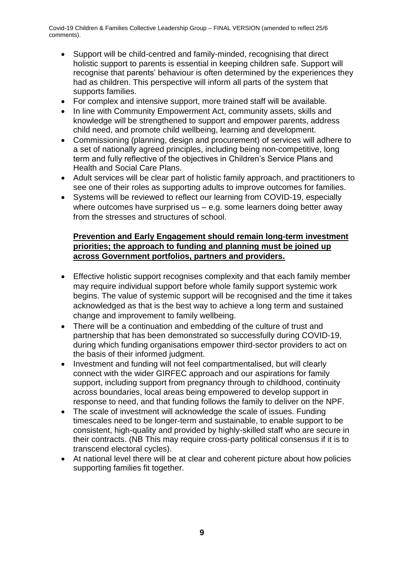- Support will be child-centred and family-minded, recognising that direct holistic support to parents is essential in keeping children safe. Support will recognise that parents' behaviour is often determined by the experiences they had as children. This perspective will inform all parts of the system that supports families.
- For complex and intensive support, more trained staff will be available.
- In line with Community Empowerment Act, community assets, skills and knowledge will be strengthened to support and empower parents, address child need, and promote child wellbeing, learning and development.
- Commissioning (planning, design and procurement) of services will adhere to a set of nationally agreed principles, including being non-competitive, long term and fully reflective of the objectives in Children's Service Plans and Health and Social Care Plans.
- Adult services will be clear part of holistic family approach, and practitioners to see one of their roles as supporting adults to improve outcomes for families.
- Systems will be reviewed to reflect our learning from COVID-19, especially where outcomes have surprised us – e.g. some learners doing better away from the stresses and structures of school.

## **Prevention and Early Engagement should remain long-term investment priorities; the approach to funding and planning must be joined up across Government portfolios, partners and providers.**

- Effective holistic support recognises complexity and that each family member may require individual support before whole family support systemic work begins. The value of systemic support will be recognised and the time it takes acknowledged as that is the best way to achieve a long term and sustained change and improvement to family wellbeing.
- There will be a continuation and embedding of the culture of trust and partnership that has been demonstrated so successfully during COVID-19, during which funding organisations empower third-sector providers to act on the basis of their informed judgment.
- Investment and funding will not feel compartmentalised, but will clearly connect with the wider GIRFEC approach and our aspirations for family support, including support from pregnancy through to childhood, continuity across boundaries, local areas being empowered to develop support in response to need, and that funding follows the family to deliver on the NPF.
- The scale of investment will acknowledge the scale of issues. Funding timescales need to be longer-term and sustainable, to enable support to be consistent, high-quality and provided by highly-skilled staff who are secure in their contracts. (NB This may require cross-party political consensus if it is to transcend electoral cycles).
- At national level there will be at clear and coherent picture about how policies supporting families fit together.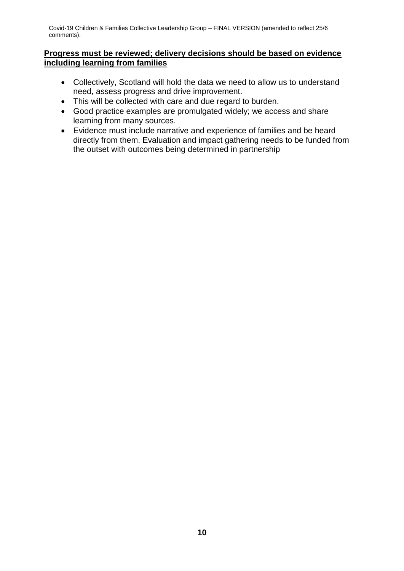### **Progress must be reviewed; delivery decisions should be based on evidence including learning from families**

- Collectively, Scotland will hold the data we need to allow us to understand need, assess progress and drive improvement.
- This will be collected with care and due regard to burden.
- Good practice examples are promulgated widely; we access and share learning from many sources.
- Evidence must include narrative and experience of families and be heard directly from them. Evaluation and impact gathering needs to be funded from the outset with outcomes being determined in partnership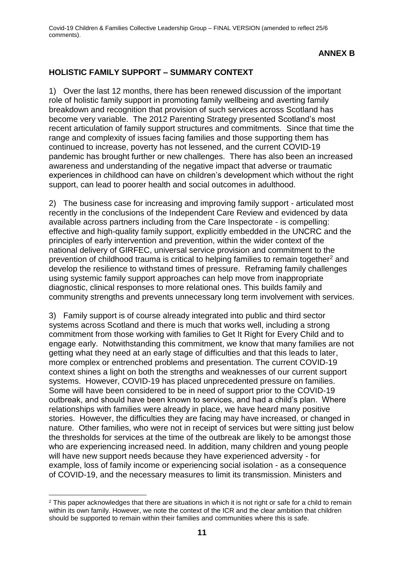## **ANNEX B**

### **HOLISTIC FAMILY SUPPORT – SUMMARY CONTEXT**

1) Over the last 12 months, there has been renewed discussion of the important role of holistic family support in promoting family wellbeing and averting family breakdown and recognition that provision of such services across Scotland has become very variable. The 2012 Parenting Strategy presented Scotland's most recent articulation of family support structures and commitments. Since that time the range and complexity of issues facing families and those supporting them has continued to increase, poverty has not lessened, and the current COVID-19 pandemic has brought further or new challenges. There has also been an increased awareness and understanding of the negative impact that adverse or traumatic experiences in childhood can have on children's development which without the right support, can lead to poorer health and social outcomes in adulthood.

2) The business case for increasing and improving family support - articulated most recently in the conclusions of the Independent Care Review and evidenced by data available across partners including from the Care Inspectorate - is compelling: effective and high-quality family support, explicitly embedded in the UNCRC and the principles of early intervention and prevention, within the wider context of the national delivery of GIRFEC, universal service provision and commitment to the prevention of childhood trauma is critical to helping families to remain together<sup>2</sup> and develop the resilience to withstand times of pressure. Reframing family challenges using systemic family support approaches can help move from inappropriate diagnostic, clinical responses to more relational ones. This builds family and community strengths and prevents unnecessary long term involvement with services.

3) Family support is of course already integrated into public and third sector systems across Scotland and there is much that works well, including a strong commitment from those working with families to Get It Right for Every Child and to engage early. Notwithstanding this commitment, we know that many families are not getting what they need at an early stage of difficulties and that this leads to later, more complex or entrenched problems and presentation. The current COVID-19 context shines a light on both the strengths and weaknesses of our current support systems. However, COVID-19 has placed unprecedented pressure on families. Some will have been considered to be in need of support prior to the COVID-19 outbreak, and should have been known to services, and had a child's plan. Where relationships with families were already in place, we have heard many positive stories. However, the difficulties they are facing may have increased, or changed in nature. Other families, who were not in receipt of services but were sitting just below the thresholds for services at the time of the outbreak are likely to be amongst those who are experiencing increased need. In addition, many children and young people will have new support needs because they have experienced adversity - for example, loss of family income or experiencing social isolation - as a consequence of COVID-19, and the necessary measures to limit its transmission. Ministers and

1

<sup>&</sup>lt;sup>2</sup> This paper acknowledges that there are situations in which it is not right or safe for a child to remain within its own family. However, we note the context of the ICR and the clear ambition that children should be supported to remain within their families and communities where this is safe.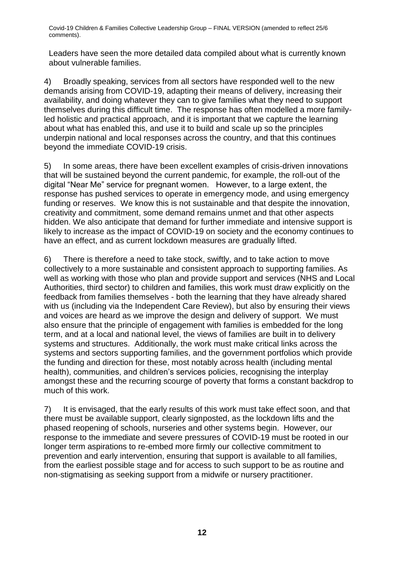Leaders have seen the more detailed data compiled about what is currently known about vulnerable families.

4) Broadly speaking, services from all sectors have responded well to the new demands arising from COVID-19, adapting their means of delivery, increasing their availability, and doing whatever they can to give families what they need to support themselves during this difficult time. The response has often modelled a more familyled holistic and practical approach, and it is important that we capture the learning about what has enabled this, and use it to build and scale up so the principles underpin national and local responses across the country, and that this continues beyond the immediate COVID-19 crisis.

5) In some areas, there have been excellent examples of crisis-driven innovations that will be sustained beyond the current pandemic, for example, the roll-out of the digital "Near Me" service for pregnant women. However, to a large extent, the response has pushed services to operate in emergency mode, and using emergency funding or reserves. We know this is not sustainable and that despite the innovation, creativity and commitment, some demand remains unmet and that other aspects hidden. We also anticipate that demand for further immediate and intensive support is likely to increase as the impact of COVID-19 on society and the economy continues to have an effect, and as current lockdown measures are gradually lifted.

6) There is therefore a need to take stock, swiftly, and to take action to move collectively to a more sustainable and consistent approach to supporting families. As well as working with those who plan and provide support and services (NHS and Local Authorities, third sector) to children and families, this work must draw explicitly on the feedback from families themselves - both the learning that they have already shared with us (including via the Independent Care Review), but also by ensuring their views and voices are heard as we improve the design and delivery of support. We must also ensure that the principle of engagement with families is embedded for the long term, and at a local and national level, the views of families are built in to delivery systems and structures. Additionally, the work must make critical links across the systems and sectors supporting families, and the government portfolios which provide the funding and direction for these, most notably across health (including mental health), communities, and children's services policies, recognising the interplay amongst these and the recurring scourge of poverty that forms a constant backdrop to much of this work.

7) It is envisaged, that the early results of this work must take effect soon, and that there must be available support, clearly signposted, as the lockdown lifts and the phased reopening of schools, nurseries and other systems begin. However, our response to the immediate and severe pressures of COVID-19 must be rooted in our longer term aspirations to re-embed more firmly our collective commitment to prevention and early intervention, ensuring that support is available to all families, from the earliest possible stage and for access to such support to be as routine and non-stigmatising as seeking support from a midwife or nursery practitioner.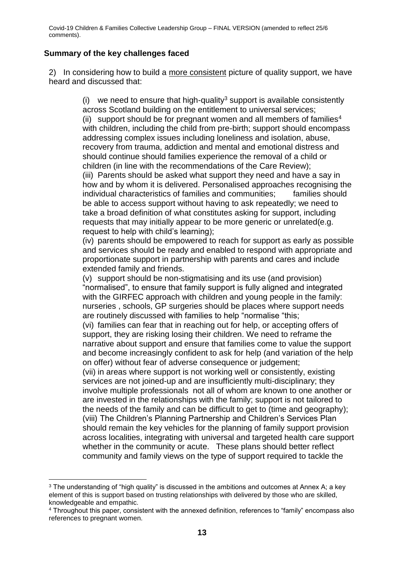## **Summary of the key challenges faced**

2) In considering how to build a more consistent picture of quality support, we have heard and discussed that:

> (i) we need to ensure that high-quality<sup>3</sup> support is available consistently across Scotland building on the entitlement to universal services; (ii) support should be for pregnant women and all members of families<sup>4</sup> with children, including the child from pre-birth; support should encompass addressing complex issues including loneliness and isolation, abuse, recovery from trauma, addiction and mental and emotional distress and should continue should families experience the removal of a child or children (in line with the recommendations of the Care Review); (iii) Parents should be asked what support they need and have a say in how and by whom it is delivered. Personalised approaches recognising the individual characteristics of families and communities; families should be able to access support without having to ask repeatedly; we need to take a broad definition of what constitutes asking for support, including requests that may initially appear to be more generic or unrelated(e.g. request to help with child's learning);

> (iv) parents should be empowered to reach for support as early as possible and services should be ready and enabled to respond with appropriate and proportionate support in partnership with parents and cares and include extended family and friends.

(v) support should be non-stigmatising and its use (and provision) "normalised", to ensure that family support is fully aligned and integrated with the GIRFEC approach with children and young people in the family: nurseries , schools, GP surgeries should be places where support needs are routinely discussed with families to help "normalise "this;

(vi) families can fear that in reaching out for help, or accepting offers of support, they are risking losing their children. We need to reframe the narrative about support and ensure that families come to value the support and become increasingly confident to ask for help (and variation of the help on offer) without fear of adverse consequence or judgement;

(vii) in areas where support is not working well or consistently, existing services are not joined-up and are insufficiently multi-disciplinary; they involve multiple professionals not all of whom are known to one another or are invested in the relationships with the family; support is not tailored to the needs of the family and can be difficult to get to (time and geography); (viii) The Children's Planning Partnership and Children's Services Plan should remain the key vehicles for the planning of family support provision across localities, integrating with universal and targeted health care support whether in the community or acute. These plans should better reflect community and family views on the type of support required to tackle the

<sup>1</sup>  $3$  The understanding of "high quality" is discussed in the ambitions and outcomes at Annex A; a key element of this is support based on trusting relationships with delivered by those who are skilled, knowledgeable and empathic.

<sup>4</sup> Throughout this paper, consistent with the annexed definition, references to "family" encompass also references to pregnant women.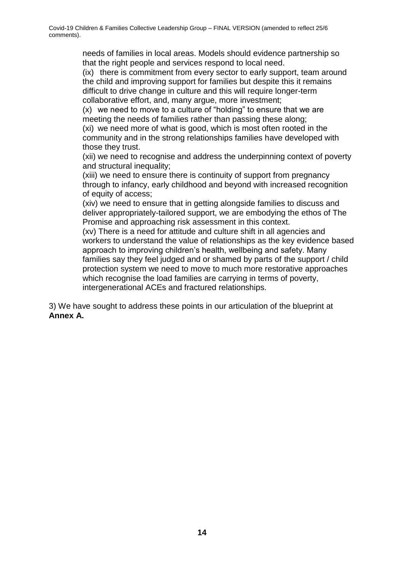needs of families in local areas. Models should evidence partnership so that the right people and services respond to local need.

(ix) there is commitment from every sector to early support, team around the child and improving support for families but despite this it remains difficult to drive change in culture and this will require longer-term collaborative effort, and, many argue, more investment;

(x) we need to move to a culture of "holding" to ensure that we are meeting the needs of families rather than passing these along;

(xi) we need more of what is good, which is most often rooted in the community and in the strong relationships families have developed with those they trust.

(xii) we need to recognise and address the underpinning context of poverty and structural inequality;

(xiii) we need to ensure there is continuity of support from pregnancy through to infancy, early childhood and beyond with increased recognition of equity of access;

(xiv) we need to ensure that in getting alongside families to discuss and deliver appropriately-tailored support, we are embodying the ethos of The Promise and approaching risk assessment in this context.

(xv) There is a need for attitude and culture shift in all agencies and workers to understand the value of relationships as the key evidence based approach to improving children's health, wellbeing and safety. Many families say they feel judged and or shamed by parts of the support / child protection system we need to move to much more restorative approaches which recognise the load families are carrying in terms of poverty, intergenerational ACEs and fractured relationships.

3) We have sought to address these points in our articulation of the blueprint at **Annex A.**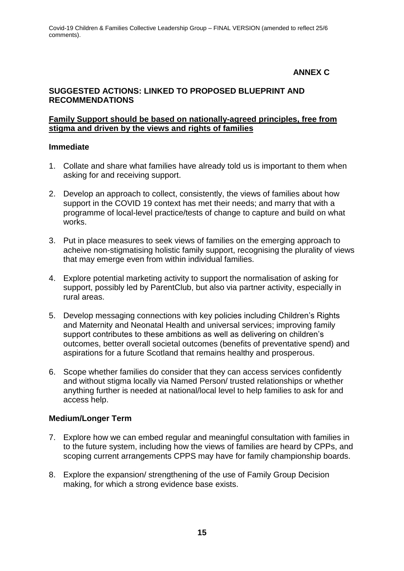# **ANNEX C**

# **SUGGESTED ACTIONS: LINKED TO PROPOSED BLUEPRINT AND RECOMMENDATIONS**

#### **Family Support should be based on nationally-agreed principles, free from stigma and driven by the views and rights of families**

#### **Immediate**

- 1. Collate and share what families have already told us is important to them when asking for and receiving support.
- 2. Develop an approach to collect, consistently, the views of families about how support in the COVID 19 context has met their needs; and marry that with a programme of local-level practice/tests of change to capture and build on what works.
- 3. Put in place measures to seek views of families on the emerging approach to acheive non-stigmatising holistic family support, recognising the plurality of views that may emerge even from within individual families.
- 4. Explore potential marketing activity to support the normalisation of asking for support, possibly led by ParentClub, but also via partner activity, especially in rural areas.
- 5. Develop messaging connections with key policies including Children's Rights and Maternity and Neonatal Health and universal services; improving family support contributes to these ambitions as well as delivering on children's outcomes, better overall societal outcomes (benefits of preventative spend) and aspirations for a future Scotland that remains healthy and prosperous.
- 6. Scope whether families do consider that they can access services confidently and without stigma locally via Named Person/ trusted relationships or whether anything further is needed at national/local level to help families to ask for and access help.

### **Medium/Longer Term**

- 7. Explore how we can embed regular and meaningful consultation with families in to the future system, including how the views of families are heard by CPPs, and scoping current arrangements CPPS may have for family championship boards.
- 8. Explore the expansion/ strengthening of the use of Family Group Decision making, for which a strong evidence base exists.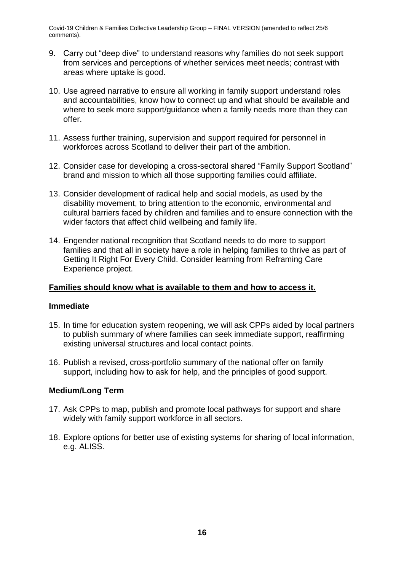- 9. Carry out "deep dive" to understand reasons why families do not seek support from services and perceptions of whether services meet needs; contrast with areas where uptake is good.
- 10. Use agreed narrative to ensure all working in family support understand roles and accountabilities, know how to connect up and what should be available and where to seek more support/guidance when a family needs more than they can offer.
- 11. Assess further training, supervision and support required for personnel in workforces across Scotland to deliver their part of the ambition.
- 12. Consider case for developing a cross-sectoral shared "Family Support Scotland" brand and mission to which all those supporting families could affiliate.
- 13. Consider development of radical help and social models, as used by the disability movement, to bring attention to the economic, environmental and cultural barriers faced by children and families and to ensure connection with the wider factors that affect child wellbeing and family life.
- 14. Engender national recognition that Scotland needs to do more to support families and that all in society have a role in helping families to thrive as part of Getting It Right For Every Child. Consider learning from Reframing Care Experience project.

### **Families should know what is available to them and how to access it.**

#### **Immediate**

- 15. In time for education system reopening, we will ask CPPs aided by local partners to publish summary of where families can seek immediate support, reaffirming existing universal structures and local contact points.
- 16. Publish a revised, cross-portfolio summary of the national offer on family support, including how to ask for help, and the principles of good support.

### **Medium/Long Term**

- 17. Ask CPPs to map, publish and promote local pathways for support and share widely with family support workforce in all sectors.
- 18. Explore options for better use of existing systems for sharing of local information, e.g. ALISS.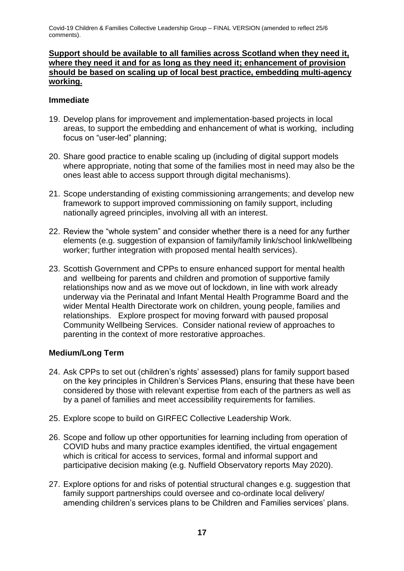### **Support should be available to all families across Scotland when they need it, where they need it and for as long as they need it; enhancement of provision should be based on scaling up of local best practice, embedding multi-agency working.**

#### **Immediate**

- 19. Develop plans for improvement and implementation-based projects in local areas, to support the embedding and enhancement of what is working, including focus on "user-led" planning;
- 20. Share good practice to enable scaling up (including of digital support models where appropriate, noting that some of the families most in need may also be the ones least able to access support through digital mechanisms).
- 21. Scope understanding of existing commissioning arrangements; and develop new framework to support improved commissioning on family support, including nationally agreed principles, involving all with an interest.
- 22. Review the "whole system" and consider whether there is a need for any further elements (e.g. suggestion of expansion of family/family link/school link/wellbeing worker; further integration with proposed mental health services).
- 23. Scottish Government and CPPs to ensure enhanced support for mental health and wellbeing for parents and children and promotion of supportive family relationships now and as we move out of lockdown, in line with work already underway via the Perinatal and Infant Mental Health Programme Board and the wider Mental Health Directorate work on children, young people, families and relationships. Explore prospect for moving forward with paused proposal Community Wellbeing Services. Consider national review of approaches to parenting in the context of more restorative approaches.

### **Medium/Long Term**

- 24. Ask CPPs to set out (children's rights' assessed) plans for family support based on the key principles in Children's Services Plans, ensuring that these have been considered by those with relevant expertise from each of the partners as well as by a panel of families and meet accessibility requirements for families.
- 25. Explore scope to build on GIRFEC Collective Leadership Work.
- 26. Scope and follow up other opportunities for learning including from operation of COVID hubs and many practice examples identified, the virtual engagement which is critical for access to services, formal and informal support and participative decision making (e.g. Nuffield Observatory reports May 2020).
- 27. Explore options for and risks of potential structural changes e.g. suggestion that family support partnerships could oversee and co-ordinate local delivery/ amending children's services plans to be Children and Families services' plans.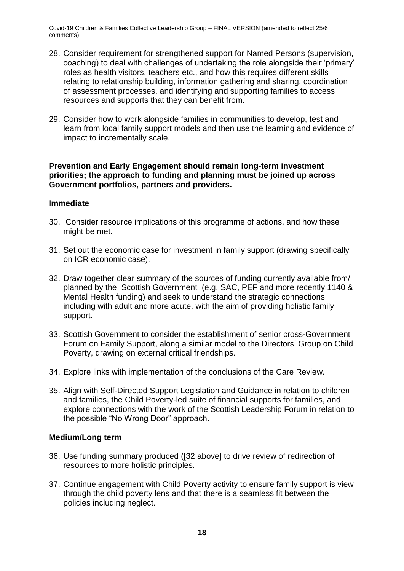- 28. Consider requirement for strengthened support for Named Persons (supervision, coaching) to deal with challenges of undertaking the role alongside their 'primary' roles as health visitors, teachers etc., and how this requires different skills relating to relationship building, information gathering and sharing, coordination of assessment processes, and identifying and supporting families to access resources and supports that they can benefit from.
- 29. Consider how to work alongside families in communities to develop, test and learn from local family support models and then use the learning and evidence of impact to incrementally scale.

#### **Prevention and Early Engagement should remain long-term investment priorities; the approach to funding and planning must be joined up across Government portfolios, partners and providers.**

#### **Immediate**

- 30. Consider resource implications of this programme of actions, and how these might be met.
- 31. Set out the economic case for investment in family support (drawing specifically on ICR economic case).
- 32. Draw together clear summary of the sources of funding currently available from/ planned by the Scottish Government (e.g. SAC, PEF and more recently 1140 & Mental Health funding) and seek to understand the strategic connections including with adult and more acute, with the aim of providing holistic family support.
- 33. Scottish Government to consider the establishment of senior cross-Government Forum on Family Support, along a similar model to the Directors' Group on Child Poverty, drawing on external critical friendships.
- 34. Explore links with implementation of the conclusions of the Care Review.
- 35. Align with Self-Directed Support Legislation and Guidance in relation to children and families, the Child Poverty-led suite of financial supports for families, and explore connections with the work of the Scottish Leadership Forum in relation to the possible "No Wrong Door" approach.

#### **Medium/Long term**

- 36. Use funding summary produced ([32 above] to drive review of redirection of resources to more holistic principles.
- 37. Continue engagement with Child Poverty activity to ensure family support is view through the child poverty lens and that there is a seamless fit between the policies including neglect.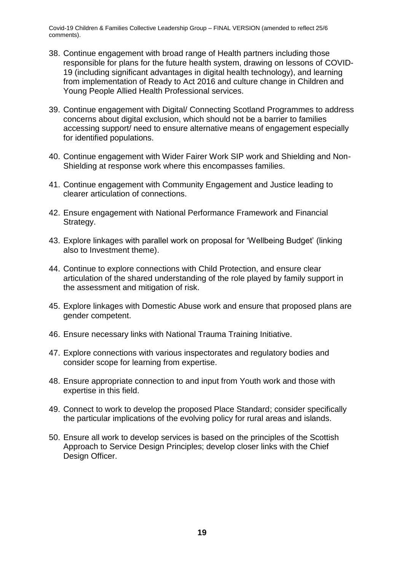- 38. Continue engagement with broad range of Health partners including those responsible for plans for the future health system, drawing on lessons of COVID-19 (including significant advantages in digital health technology), and learning from implementation of Ready to Act 2016 and culture change in Children and Young People Allied Health Professional services.
- 39. Continue engagement with Digital/ Connecting Scotland Programmes to address concerns about digital exclusion, which should not be a barrier to families accessing support/ need to ensure alternative means of engagement especially for identified populations.
- 40. Continue engagement with Wider Fairer Work SIP work and Shielding and Non-Shielding at response work where this encompasses families.
- 41. Continue engagement with Community Engagement and Justice leading to clearer articulation of connections.
- 42. Ensure engagement with National Performance Framework and Financial Strategy.
- 43. Explore linkages with parallel work on proposal for 'Wellbeing Budget' (linking also to Investment theme).
- 44. Continue to explore connections with Child Protection, and ensure clear articulation of the shared understanding of the role played by family support in the assessment and mitigation of risk.
- 45. Explore linkages with Domestic Abuse work and ensure that proposed plans are gender competent.
- 46. Ensure necessary links with National Trauma Training Initiative.
- 47. Explore connections with various inspectorates and regulatory bodies and consider scope for learning from expertise.
- 48. Ensure appropriate connection to and input from Youth work and those with expertise in this field.
- 49. Connect to work to develop the proposed Place Standard; consider specifically the particular implications of the evolving policy for rural areas and islands.
- 50. Ensure all work to develop services is based on the principles of the Scottish Approach to Service Design Principles; develop closer links with the Chief Design Officer.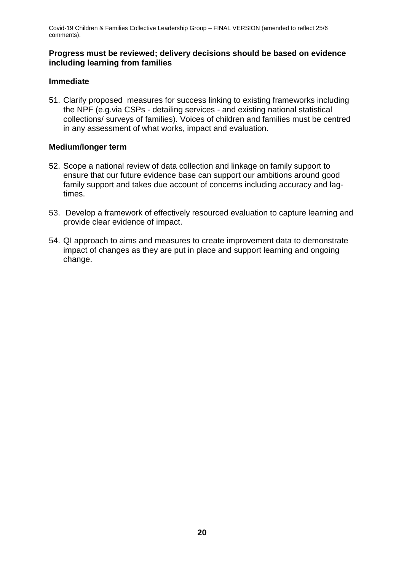### **Progress must be reviewed; delivery decisions should be based on evidence including learning from families**

### **Immediate**

51. Clarify proposed measures for success linking to existing frameworks including the NPF (e.g.via CSPs - detailing services - and existing national statistical collections/ surveys of families). Voices of children and families must be centred in any assessment of what works, impact and evaluation.

### **Medium/longer term**

- 52. Scope a national review of data collection and linkage on family support to ensure that our future evidence base can support our ambitions around good family support and takes due account of concerns including accuracy and lagtimes.
- 53. Develop a framework of effectively resourced evaluation to capture learning and provide clear evidence of impact.
- 54. QI approach to aims and measures to create improvement data to demonstrate impact of changes as they are put in place and support learning and ongoing change.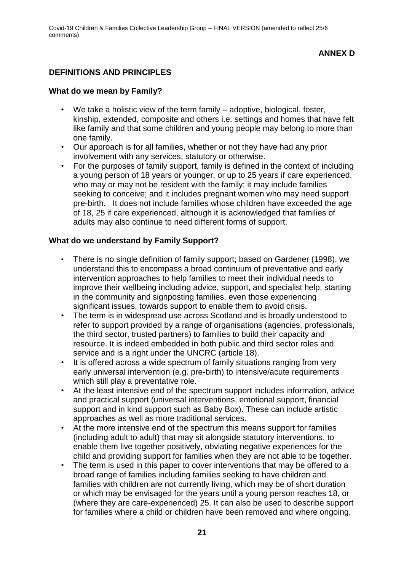### **DEFINITIONS AND PRINCIPLES**

#### **What do we mean by Family?**

- We take a holistic view of the term family adoptive, biological, foster, kinship, extended, composite and others i.e. settings and homes that have felt like family and that some children and young people may belong to more than one family.
- Our approach is for all families, whether or not they have had any prior involvement with any services, statutory or otherwise.
- For the purposes of family support, family is defined in the context of including a young person of 18 years or younger, or up to 25 years if care experienced, who may or may not be resident with the family; it may include families seeking to conceive; and it includes pregnant women who may need support pre-birth. It does not include families whose children have exceeded the age of 18, 25 if care experienced, although it is acknowledged that families of adults may also continue to need different forms of support.

#### **What do we understand by Family Support?**

- There is no single definition of family support; based on Gardener (1998), we understand this to encompass a broad continuum of preventative and early intervention approaches to help families to meet their individual needs to improve their wellbeing including advice, support, and specialist help, starting in the community and signposting families, even those experiencing significant issues, towards support to enable them to avoid crisis.
- The term is in widespread use across Scotland and is broadly understood to refer to support provided by a range of organisations (agencies, professionals, the third sector, trusted partners) to families to build their capacity and resource. It is indeed embedded in both public and third sector roles and service and is a right under the UNCRC (article 18).
- It is offered across a wide spectrum of family situations ranging from very early universal intervention (e.g. pre-birth) to intensive/acute requirements which still play a preventative role.
- At the least intensive end of the spectrum support includes information, advice and practical support (universal interventions, emotional support, financial support and in kind support such as Baby Box). These can include artistic approaches as well as more traditional services.
- At the more intensive end of the spectrum this means support for families (including adult to adult) that may sit alongside statutory interventions, to enable them live together positively, obviating negative experiences for the child and providing support for families when they are not able to be together.
- The term is used in this paper to cover interventions that may be offered to a broad range of families including families seeking to have children and families with children are not currently living, which may be of short duration or which may be envisaged for the years until a young person reaches 18, or (where they are care-experienced) 25. It can also be used to describe support for families where a child or children have been removed and where ongoing,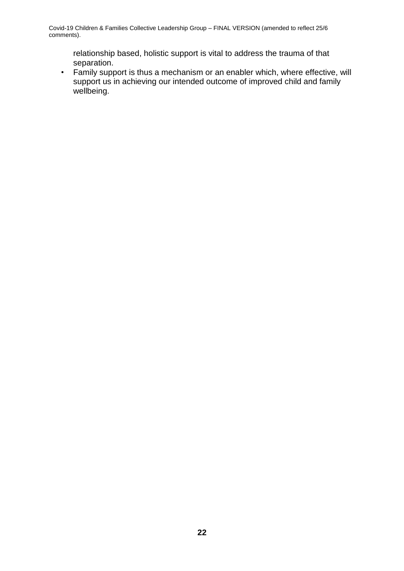relationship based, holistic support is vital to address the trauma of that separation.

• Family support is thus a mechanism or an enabler which, where effective, will support us in achieving our intended outcome of improved child and family wellbeing.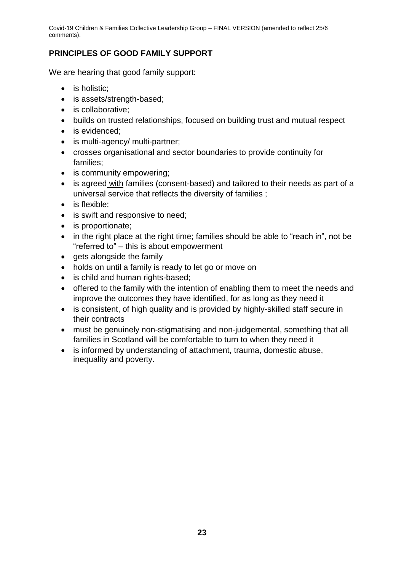# **PRINCIPLES OF GOOD FAMILY SUPPORT**

We are hearing that good family support:

- is holistic:
- is assets/strength-based;
- is collaborative:
- builds on trusted relationships, focused on building trust and mutual respect
- is evidenced:
- is multi-agency/ multi-partner;
- crosses organisational and sector boundaries to provide continuity for families;
- is community empowering;
- is agreed with families (consent-based) and tailored to their needs as part of a universal service that reflects the diversity of families ;
- is flexible:
- is swift and responsive to need:
- is proportionate:
- in the right place at the right time; families should be able to "reach in", not be "referred to" – this is about empowerment
- $\bullet$  gets alongside the family
- holds on until a family is ready to let go or move on
- is child and human rights-based;
- offered to the family with the intention of enabling them to meet the needs and improve the outcomes they have identified, for as long as they need it
- is consistent, of high quality and is provided by highly-skilled staff secure in their contracts
- must be genuinely non-stigmatising and non-judgemental, something that all families in Scotland will be comfortable to turn to when they need it
- is informed by understanding of attachment, trauma, domestic abuse, inequality and poverty.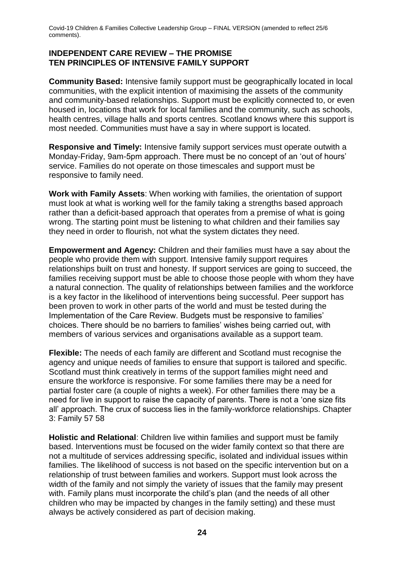### **INDEPENDENT CARE REVIEW – THE PROMISE TEN PRINCIPLES OF INTENSIVE FAMILY SUPPORT**

**Community Based:** Intensive family support must be geographically located in local communities, with the explicit intention of maximising the assets of the community and community-based relationships. Support must be explicitly connected to, or even housed in, locations that work for local families and the community, such as schools, health centres, village halls and sports centres. Scotland knows where this support is most needed. Communities must have a say in where support is located.

**Responsive and Timely:** Intensive family support services must operate outwith a Monday-Friday, 9am-5pm approach. There must be no concept of an 'out of hours' service. Families do not operate on those timescales and support must be responsive to family need.

**Work with Family Assets**: When working with families, the orientation of support must look at what is working well for the family taking a strengths based approach rather than a deficit-based approach that operates from a premise of what is going wrong. The starting point must be listening to what children and their families say they need in order to flourish, not what the system dictates they need.

**Empowerment and Agency:** Children and their families must have a say about the people who provide them with support. Intensive family support requires relationships built on trust and honesty. If support services are going to succeed, the families receiving support must be able to choose those people with whom they have a natural connection. The quality of relationships between families and the workforce is a key factor in the likelihood of interventions being successful. Peer support has been proven to work in other parts of the world and must be tested during the Implementation of the Care Review. Budgets must be responsive to families' choices. There should be no barriers to families' wishes being carried out, with members of various services and organisations available as a support team.

**Flexible:** The needs of each family are different and Scotland must recognise the agency and unique needs of families to ensure that support is tailored and specific. Scotland must think creatively in terms of the support families might need and ensure the workforce is responsive. For some families there may be a need for partial foster care (a couple of nights a week). For other families there may be a need for live in support to raise the capacity of parents. There is not a 'one size fits all' approach. The crux of success lies in the family-workforce relationships. Chapter 3: Family 57 58

**Holistic and Relational**: Children live within families and support must be family based. Interventions must be focused on the wider family context so that there are not a multitude of services addressing specific, isolated and individual issues within families. The likelihood of success is not based on the specific intervention but on a relationship of trust between families and workers. Support must look across the width of the family and not simply the variety of issues that the family may present with. Family plans must incorporate the child's plan (and the needs of all other children who may be impacted by changes in the family setting) and these must always be actively considered as part of decision making.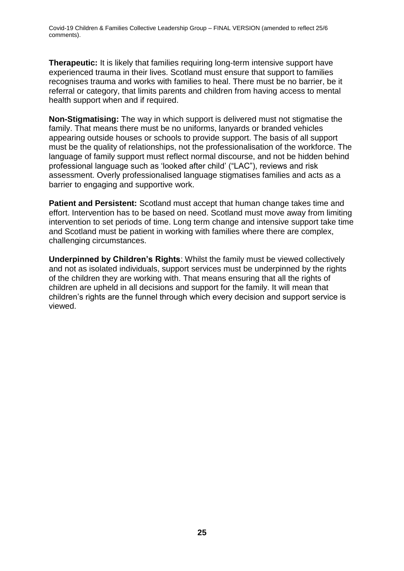**Therapeutic:** It is likely that families requiring long-term intensive support have experienced trauma in their lives. Scotland must ensure that support to families recognises trauma and works with families to heal. There must be no barrier, be it referral or category, that limits parents and children from having access to mental health support when and if required.

**Non-Stigmatising:** The way in which support is delivered must not stigmatise the family. That means there must be no uniforms, lanyards or branded vehicles appearing outside houses or schools to provide support. The basis of all support must be the quality of relationships, not the professionalisation of the workforce. The language of family support must reflect normal discourse, and not be hidden behind professional language such as 'looked after child' ("LAC"), reviews and risk assessment. Overly professionalised language stigmatises families and acts as a barrier to engaging and supportive work.

**Patient and Persistent:** Scotland must accept that human change takes time and effort. Intervention has to be based on need. Scotland must move away from limiting intervention to set periods of time. Long term change and intensive support take time and Scotland must be patient in working with families where there are complex, challenging circumstances.

**Underpinned by Children's Rights**: Whilst the family must be viewed collectively and not as isolated individuals, support services must be underpinned by the rights of the children they are working with. That means ensuring that all the rights of children are upheld in all decisions and support for the family. It will mean that children's rights are the funnel through which every decision and support service is viewed.